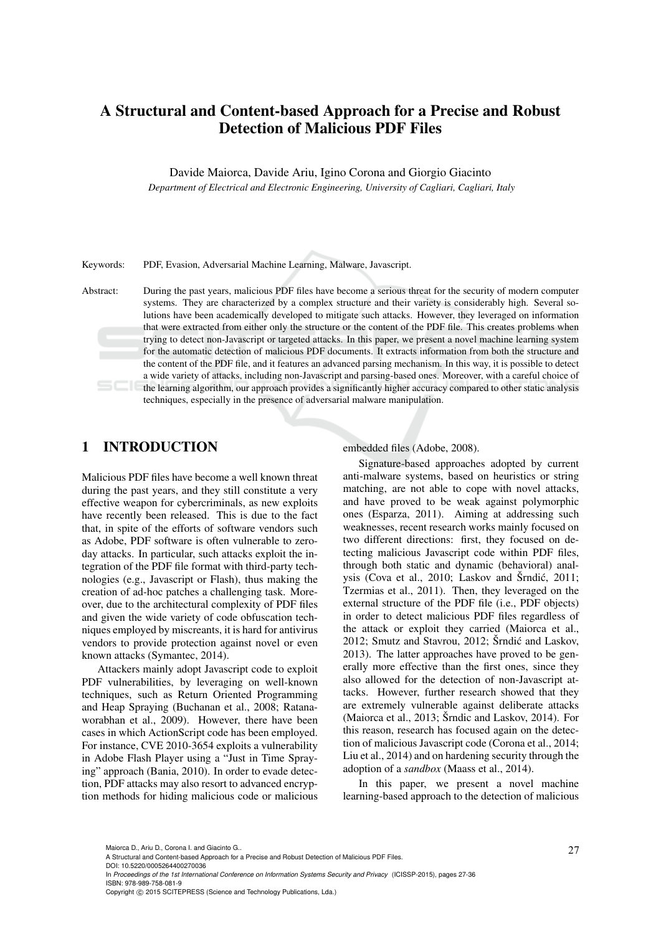# A Structural and Content-based Approach for a Precise and Robust Detection of Malicious PDF Files

Davide Maiorca, Davide Ariu, Igino Corona and Giorgio Giacinto

*Department of Electrical and Electronic Engineering, University of Cagliari, Cagliari, Italy*

Keywords: PDF, Evasion, Adversarial Machine Learning, Malware, Javascript.

Abstract: During the past years, malicious PDF files have become a serious threat for the security of modern computer systems. They are characterized by a complex structure and their variety is considerably high. Several solutions have been academically developed to mitigate such attacks. However, they leveraged on information that were extracted from either only the structure or the content of the PDF file. This creates problems when trying to detect non-Javascript or targeted attacks. In this paper, we present a novel machine learning system for the automatic detection of malicious PDF documents. It extracts information from both the structure and the content of the PDF file, and it features an advanced parsing mechanism. In this way, it is possible to detect a wide variety of attacks, including non-Javascript and parsing-based ones. Moreover, with a careful choice of the learning algorithm, our approach provides a significantly higher accuracy compared to other static analysis techniques, especially in the presence of adversarial malware manipulation.

## 1 INTRODUCTION

Malicious PDF files have become a well known threat during the past years, and they still constitute a very effective weapon for cybercriminals, as new exploits have recently been released. This is due to the fact that, in spite of the efforts of software vendors such as Adobe, PDF software is often vulnerable to zeroday attacks. In particular, such attacks exploit the integration of the PDF file format with third-party technologies (e.g., Javascript or Flash), thus making the creation of ad-hoc patches a challenging task. Moreover, due to the architectural complexity of PDF files and given the wide variety of code obfuscation techniques employed by miscreants, it is hard for antivirus vendors to provide protection against novel or even known attacks (Symantec, 2014).

Attackers mainly adopt Javascript code to exploit PDF vulnerabilities, by leveraging on well-known techniques, such as Return Oriented Programming and Heap Spraying (Buchanan et al., 2008; Ratanaworabhan et al., 2009). However, there have been cases in which ActionScript code has been employed. For instance, CVE 2010-3654 exploits a vulnerability in Adobe Flash Player using a "Just in Time Spraying" approach (Bania, 2010). In order to evade detection, PDF attacks may also resort to advanced encryption methods for hiding malicious code or malicious embedded files (Adobe, 2008).

Signature-based approaches adopted by current anti-malware systems, based on heuristics or string matching, are not able to cope with novel attacks, and have proved to be weak against polymorphic ones (Esparza, 2011). Aiming at addressing such weaknesses, recent research works mainly focused on two different directions: first, they focused on detecting malicious Javascript code within PDF files, through both static and dynamic (behavioral) analysis (Cova et al., 2010; Laskov and Šrndić, 2011; Tzermias et al., 2011). Then, they leveraged on the external structure of the PDF file (i.e., PDF objects) in order to detect malicious PDF files regardless of the attack or exploit they carried (Maiorca et al., 2012; Smutz and Stavrou, 2012; Šrndić and Laskov, 2013). The latter approaches have proved to be generally more effective than the first ones, since they also allowed for the detection of non-Javascript attacks. However, further research showed that they are extremely vulnerable against deliberate attacks (Maiorca et al., 2013;  $\text{\r{S}}$ rndic and Laskov, 2014). For this reason, research has focused again on the detection of malicious Javascript code (Corona et al., 2014; Liu et al., 2014) and on hardening security through the adoption of a *sandbox* (Maass et al., 2014).

In this paper, we present a novel machine learning-based approach to the detection of malicious

DOI: 10.5220/0005264400270036

Maiorca D., Ariu D., Corona I. and Giacinto G..<br>A Structural and Content-based Approach for a Precise and Robust Detection of Malicious PDF Files.

In *Proceedings of the 1st International Conference on Information Systems Security and Privacy* (ICISSP-2015), pages 27-36 ISBN: 978-989-758-081-9

Copyright © 2015 SCITEPRESS (Science and Technology Publications, Lda.)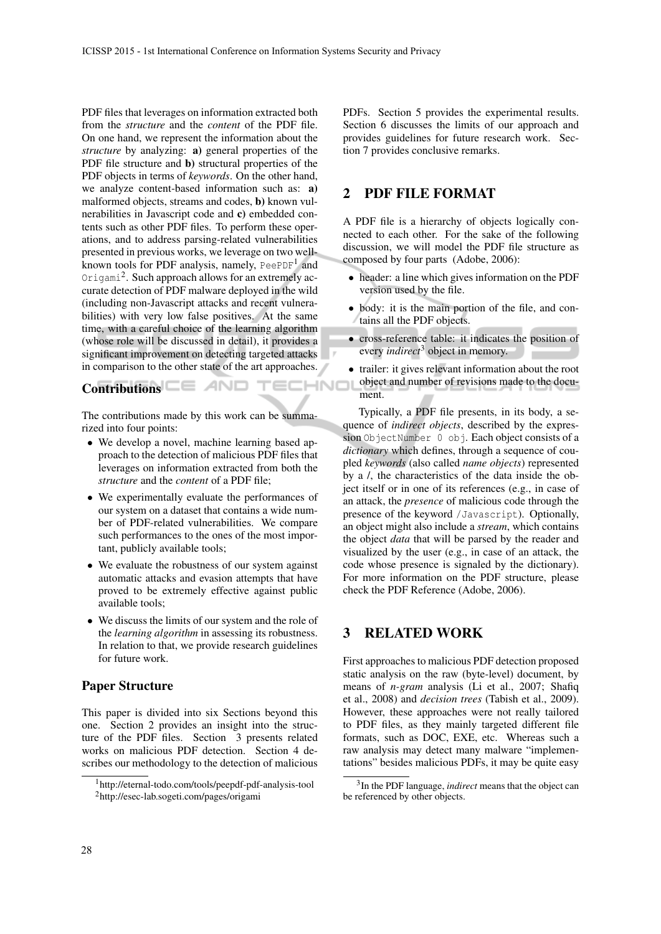PDF files that leverages on information extracted both from the *structure* and the *content* of the PDF file. On one hand, we represent the information about the *structure* by analyzing: a) general properties of the PDF file structure and **b**) structural properties of the PDF objects in terms of *keywords*. On the other hand, we analyze content-based information such as: a) malformed objects, streams and codes, b) known vulnerabilities in Javascript code and c) embedded contents such as other PDF files. To perform these operations, and to address parsing-related vulnerabilities presented in previous works, we leverage on two wellknown tools for PDF analysis, namely, PeePDF $^1$  and Origami<sup>2</sup>. Such approach allows for an extremely accurate detection of PDF malware deployed in the wild (including non-Javascript attacks and recent vulnerabilities) with very low false positives. At the same time, with a careful choice of the learning algorithm (whose role will be discussed in detail), it provides a significant improvement on detecting targeted attacks in comparison to the other state of the art approaches.

# Contributions **CE AND TECHNO**

The contributions made by this work can be summarized into four points:

- We develop a novel, machine learning based approach to the detection of malicious PDF files that leverages on information extracted from both the *structure* and the *content* of a PDF file;
- We experimentally evaluate the performances of our system on a dataset that contains a wide number of PDF-related vulnerabilities. We compare such performances to the ones of the most important, publicly available tools;
- We evaluate the robustness of our system against automatic attacks and evasion attempts that have proved to be extremely effective against public available tools;
- We discuss the limits of our system and the role of the *learning algorithm* in assessing its robustness. In relation to that, we provide research guidelines for future work.

### Paper Structure

This paper is divided into six Sections beyond this one. Section 2 provides an insight into the structure of the PDF files. Section 3 presents related works on malicious PDF detection. Section 4 describes our methodology to the detection of malicious PDFs. Section 5 provides the experimental results. Section 6 discusses the limits of our approach and provides guidelines for future research work. Section 7 provides conclusive remarks.

## 2 PDF FILE FORMAT

.,

A PDF file is a hierarchy of objects logically connected to each other. For the sake of the following discussion, we will model the PDF file structure as composed by four parts (Adobe, 2006):

- header: a line which gives information on the PDF version used by the file.
- body: it is the main portion of the file, and contains all the PDF objects.
- cross-reference table: it indicates the position of every *indirect*<sup>3</sup> object in memory.
- trailer: it gives relevant information about the root object and number of revisions made to the document.

Typically, a PDF file presents, in its body, a sequence of *indirect objects*, described by the expression ObjectNumber 0 obj. Each object consists of a *dictionary* which defines, through a sequence of coupled *keywords* (also called *name objects*) represented by a /, the characteristics of the data inside the object itself or in one of its references (e.g., in case of an attack, the *presence* of malicious code through the presence of the keyword /Javascript). Optionally, an object might also include a *stream*, which contains the object *data* that will be parsed by the reader and visualized by the user (e.g., in case of an attack, the code whose presence is signaled by the dictionary). For more information on the PDF structure, please check the PDF Reference (Adobe, 2006).

## 3 RELATED WORK

First approaches to malicious PDF detection proposed static analysis on the raw (byte-level) document, by means of *n-gram* analysis (Li et al., 2007; Shafiq et al., 2008) and *decision trees* (Tabish et al., 2009). However, these approaches were not really tailored to PDF files, as they mainly targeted different file formats, such as DOC, EXE, etc. Whereas such a raw analysis may detect many malware "implementations" besides malicious PDFs, it may be quite easy

<sup>1</sup>http://eternal-todo.com/tools/peepdf-pdf-analysis-tool <sup>2</sup>http://esec-lab.sogeti.com/pages/origami

<sup>3</sup> In the PDF language, *indirect* means that the object can be referenced by other objects.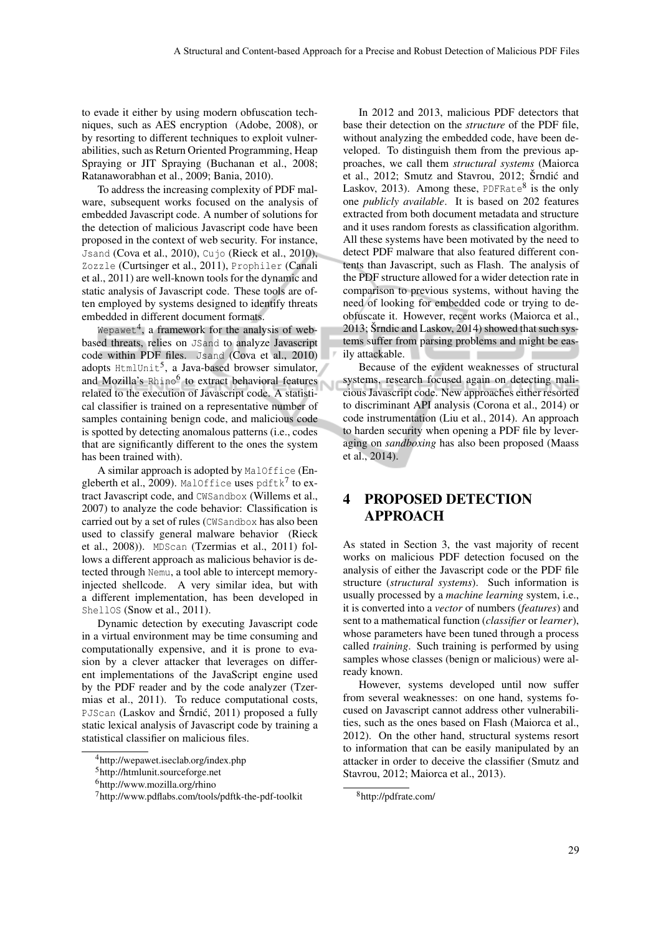to evade it either by using modern obfuscation techniques, such as AES encryption (Adobe, 2008), or by resorting to different techniques to exploit vulnerabilities, such as Return Oriented Programming, Heap Spraying or JIT Spraying (Buchanan et al., 2008; Ratanaworabhan et al., 2009; Bania, 2010).

To address the increasing complexity of PDF malware, subsequent works focused on the analysis of embedded Javascript code. A number of solutions for the detection of malicious Javascript code have been proposed in the context of web security. For instance, Jsand (Cova et al., 2010), Cujo (Rieck et al., 2010), Zozzle (Curtsinger et al., 2011), Prophiler (Canali et al., 2011) are well-known tools for the dynamic and static analysis of Javascript code. These tools are often employed by systems designed to identify threats embedded in different document formats.

Wepawet<sup>4</sup>, a framework for the analysis of webbased threats, relies on JSand to analyze Javascript code within PDF files. Jsand (Cova et al., 2010) adopts <code>HtmlUnit $^5$ , a Java-based</code> browser simulator, and Mozilla's Rhino<sup>6</sup> to extract behavioral features related to the execution of Javascript code. A statistical classifier is trained on a representative number of samples containing benign code, and malicious code is spotted by detecting anomalous patterns (i.e., codes that are significantly different to the ones the system has been trained with).

A similar approach is adopted by MalOffice (Engleberth et al., 2009). MalOffice uses  $\text{pdftk}^7$  to extract Javascript code, and CWSandbox (Willems et al., 2007) to analyze the code behavior: Classification is carried out by a set of rules (CWSandbox has also been used to classify general malware behavior (Rieck et al., 2008)). MDScan (Tzermias et al., 2011) follows a different approach as malicious behavior is detected through Nemu, a tool able to intercept memoryinjected shellcode. A very similar idea, but with a different implementation, has been developed in ShellOS (Snow et al., 2011).

Dynamic detection by executing Javascript code in a virtual environment may be time consuming and computationally expensive, and it is prone to evasion by a clever attacker that leverages on different implementations of the JavaScript engine used by the PDF reader and by the code analyzer (Tzermias et al., 2011). To reduce computational costs, PJScan (Laskov and Šrndić, 2011) proposed a fully static lexical analysis of Javascript code by training a statistical classifier on malicious files.

In 2012 and 2013, malicious PDF detectors that base their detection on the *structure* of the PDF file, without analyzing the embedded code, have been developed. To distinguish them from the previous approaches, we call them *structural systems* (Maiorca et al., 2012; Smutz and Stavrou, 2012; Šrndić and Laskov, 2013). Among these, PDFRate<sup>8</sup> is the only one *publicly available*. It is based on 202 features extracted from both document metadata and structure and it uses random forests as classification algorithm. All these systems have been motivated by the need to detect PDF malware that also featured different contents than Javascript, such as Flash. The analysis of the PDF structure allowed for a wider detection rate in comparison to previous systems, without having the need of looking for embedded code or trying to deobfuscate it. However, recent works (Maiorca et al., 2013; Šrndic and Laskov,  $2014$ ) showed that such systems suffer from parsing problems and might be easily attackable.

Because of the evident weaknesses of structural systems, research focused again on detecting malicious Javascript code. New approaches either resorted to discriminant API analysis (Corona et al., 2014) or code instrumentation (Liu et al., 2014). An approach to harden security when opening a PDF file by leveraging on *sandboxing* has also been proposed (Maass et al., 2014).

## 4 PROPOSED DETECTION APPROACH

As stated in Section 3, the vast majority of recent works on malicious PDF detection focused on the analysis of either the Javascript code or the PDF file structure (*structural systems*). Such information is usually processed by a *machine learning* system, i.e., it is converted into a *vector* of numbers (*features*) and sent to a mathematical function (*classifier* or *learner*), whose parameters have been tuned through a process called *training*. Such training is performed by using samples whose classes (benign or malicious) were already known.

However, systems developed until now suffer from several weaknesses: on one hand, systems focused on Javascript cannot address other vulnerabilities, such as the ones based on Flash (Maiorca et al., 2012). On the other hand, structural systems resort to information that can be easily manipulated by an attacker in order to deceive the classifier (Smutz and Stavrou, 2012; Maiorca et al., 2013).

<sup>4</sup>http://wepawet.iseclab.org/index.php

<sup>5</sup>http://htmlunit.sourceforge.net

<sup>6</sup>http://www.mozilla.org/rhino

<sup>7</sup>http://www.pdflabs.com/tools/pdftk-the-pdf-toolkit

<sup>8</sup>http://pdfrate.com/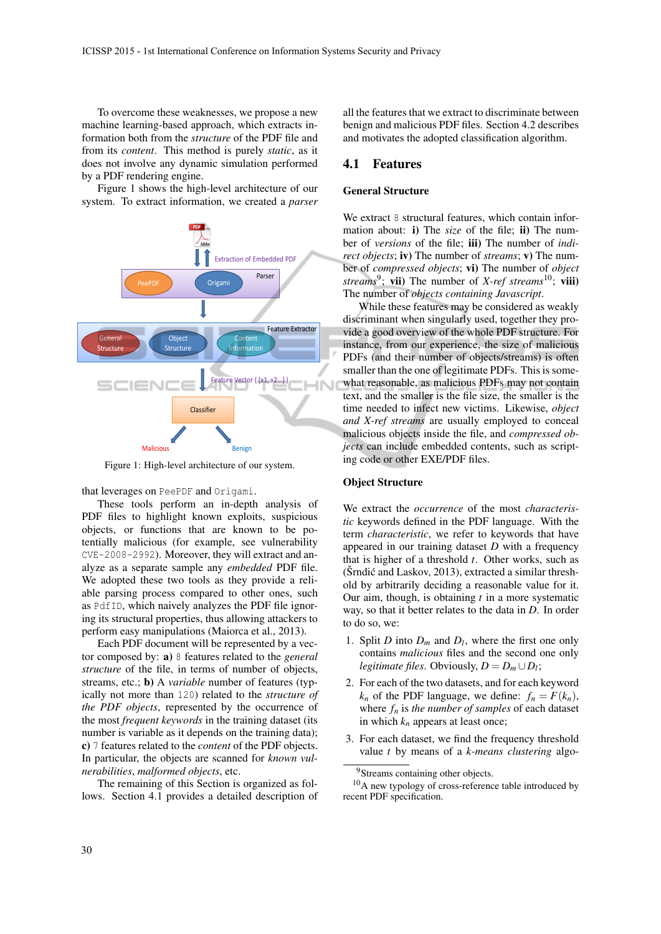To overcome these weaknesses, we propose a new machine learning-based approach, which extracts information both from the *structure* of the PDF file and from its *content*. This method is purely *static*, as it does not involve any dynamic simulation performed by a PDF rendering engine.

Figure 1 shows the high-level architecture of our system. To extract information, we created a *parser*



Figure 1: High-level architecture of our system.

that leverages on PeePDF and Origami.

These tools perform an in-depth analysis of PDF files to highlight known exploits, suspicious objects, or functions that are known to be potentially malicious (for example, see vulnerability CVE-2008-2992). Moreover, they will extract and analyze as a separate sample any *embedded* PDF file. We adopted these two tools as they provide a reliable parsing process compared to other ones, such as PdfID, which naively analyzes the PDF file ignoring its structural properties, thus allowing attackers to perform easy manipulations (Maiorca et al., 2013).

Each PDF document will be represented by a vector composed by: a) 8 features related to the *general structure* of the file, in terms of number of objects, streams, etc.; b) A *variable* number of features (typically not more than 120) related to the *structure of the PDF objects*, represented by the occurrence of the most *frequent keywords* in the training dataset (its number is variable as it depends on the training data); c) 7 features related to the *content* of the PDF objects. In particular, the objects are scanned for *known vulnerabilities*, *malformed objects*, etc.

The remaining of this Section is organized as follows. Section 4.1 provides a detailed description of

all the features that we extract to discriminate between benign and malicious PDF files. Section 4.2 describes and motivates the adopted classification algorithm.

#### 4.1 Features

#### General Structure

We extract 8 structural features, which contain information about: i) The *size* of the file; ii) The number of *versions* of the file; iii) The number of *indirect objects*; iv) The number of *streams*; v) The number of *compressed objects*; vi) The number of *object streams*<sup>9</sup> ; vii) The number of *X-ref streams*10; viii) The number of *objects containing Javascript*.

While these features may be considered as weakly discriminant when singularly used, together they provide a good overview of the whole PDF structure. For instance, from our experience, the size of malicious PDFs (and their number of objects/streams) is often smaller than the one of legitimate PDFs. This is somewhat reasonable, as malicious PDFs may not contain text, and the smaller is the file size, the smaller is the time needed to infect new victims. Likewise, *object and X-ref streams* are usually employed to conceal malicious objects inside the file, and *compressed objects* can include embedded contents, such as scripting code or other EXE/PDF files.

#### Object Structure

We extract the *occurrence* of the most *characteristic* keywords defined in the PDF language. With the term *characteristic*, we refer to keywords that have appeared in our training dataset *D* with a frequency that is higher of a threshold *t*. Other works, such as  $(\text{Srndić} \text{ and } \text{Laskov}, 2013)$ , extracted a similar threshold by arbitrarily deciding a reasonable value for it. Our aim, though, is obtaining *t* in a more systematic way, so that it better relates to the data in *D*. In order to do so, we:

- 1. Split *D* into  $D_m$  and  $D_l$ , where the first one only contains *malicious* files and the second one only *legitimate files.* Obviously,  $D = D_m \cup D_l$ ;
- 2. For each of the two datasets, and for each keyword  $k_n$  of the PDF language, we define:  $f_n = F(k_n)$ , where  $f_n$  is *the number of samples* of each dataset in which *k<sup>n</sup>* appears at least once;
- 3. For each dataset, we find the frequency threshold value *t* by means of a *k-means clustering* algo-

<sup>&</sup>lt;sup>9</sup>Streams containing other objects.

<sup>10</sup>A new typology of cross-reference table introduced by recent PDF specification.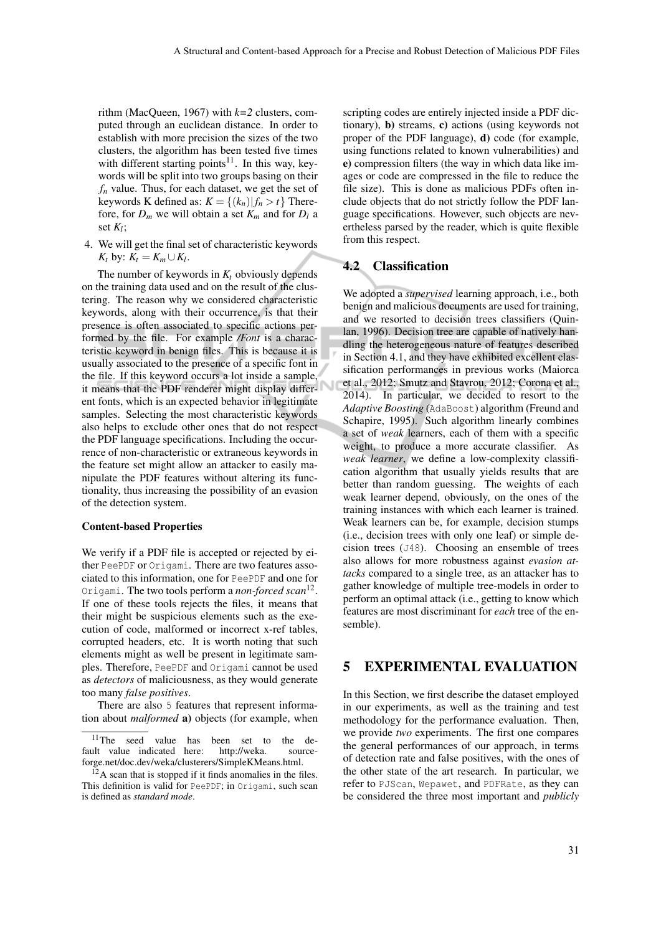rithm (MacQueen, 1967) with *k=2* clusters, computed through an euclidean distance. In order to establish with more precision the sizes of the two clusters, the algorithm has been tested five times with different starting points<sup>11</sup>. In this way, keywords will be split into two groups basing on their *f<sup>n</sup>* value. Thus, for each dataset, we get the set of keywords K defined as:  $K = \{(k_n) | f_n > t\}$  Therefore, for  $D_m$  we will obtain a set  $K_m$  and for  $D_l$  a set *K<sup>l</sup>* ;

4. We will get the final set of characteristic keywords  $K_t$  by:  $K_t = K_m \cup K_l$ .

The number of keywords in  $K_t$  obviously depends on the training data used and on the result of the clustering. The reason why we considered characteristic keywords, along with their occurrence, is that their presence is often associated to specific actions performed by the file. For example */Font* is a characteristic keyword in benign files. This is because it is usually associated to the presence of a specific font in the file. If this keyword occurs a lot inside a sample, it means that the PDF renderer might display different fonts, which is an expected behavior in legitimate samples. Selecting the most characteristic keywords also helps to exclude other ones that do not respect the PDF language specifications. Including the occurrence of non-characteristic or extraneous keywords in the feature set might allow an attacker to easily manipulate the PDF features without altering its functionality, thus increasing the possibility of an evasion of the detection system.

#### Content-based Properties

We verify if a PDF file is accepted or rejected by either PeePDF or Origami. There are two features associated to this information, one for PeePDF and one for Origami. The two tools perform a *non-forced scan*<sup>12</sup> . If one of these tools rejects the files, it means that their might be suspicious elements such as the execution of code, malformed or incorrect x-ref tables, corrupted headers, etc. It is worth noting that such elements might as well be present in legitimate samples. Therefore, PeePDF and Origami cannot be used as *detectors* of maliciousness, as they would generate too many *false positives*.

There are also 5 features that represent information about *malformed* a) objects (for example, when

scripting codes are entirely injected inside a PDF dictionary), b) streams, c) actions (using keywords not proper of the PDF language), d) code (for example, using functions related to known vulnerabilities) and e) compression filters (the way in which data like images or code are compressed in the file to reduce the file size). This is done as malicious PDFs often include objects that do not strictly follow the PDF language specifications. However, such objects are nevertheless parsed by the reader, which is quite flexible from this respect.

#### 4.2 Classification

We adopted a *supervised* learning approach, i.e., both benign and malicious documents are used for training, and we resorted to decision trees classifiers (Quinlan, 1996). Decision tree are capable of natively handling the heterogeneous nature of features described in Section 4.1, and they have exhibited excellent classification performances in previous works (Maiorca et al., 2012; Smutz and Stavrou, 2012; Corona et al., 2014). In particular, we decided to resort to the *Adaptive Boosting* (AdaBoost) algorithm (Freund and Schapire, 1995). Such algorithm linearly combines a set of *weak* learners, each of them with a specific weight, to produce a more accurate classifier. As *weak learner*, we define a low-complexity classification algorithm that usually yields results that are better than random guessing. The weights of each weak learner depend, obviously, on the ones of the training instances with which each learner is trained. Weak learners can be, for example, decision stumps (i.e., decision trees with only one leaf) or simple decision trees (J48). Choosing an ensemble of trees also allows for more robustness against *evasion attacks* compared to a single tree, as an attacker has to gather knowledge of multiple tree-models in order to perform an optimal attack (i.e., getting to know which features are most discriminant for *each* tree of the ensemble).

## 5 EXPERIMENTAL EVALUATION

In this Section, we first describe the dataset employed in our experiments, as well as the training and test methodology for the performance evaluation. Then, we provide *two* experiments. The first one compares the general performances of our approach, in terms of detection rate and false positives, with the ones of the other state of the art research. In particular, we refer to PJScan, Wepawet, and PDFRate, as they can be considered the three most important and *publicly*

<sup>&</sup>lt;sup>11</sup>The seed value has been set to the de-<br>ult value indicated here:  $http://weka. source$ fault value indicated here: http://weka. sourceforge.net/doc.dev/weka/clusterers/SimpleKMeans.html.

 $12A$  scan that is stopped if it finds anomalies in the files. This definition is valid for PeePDF; in Origami, such scan is defined as *standard mode*.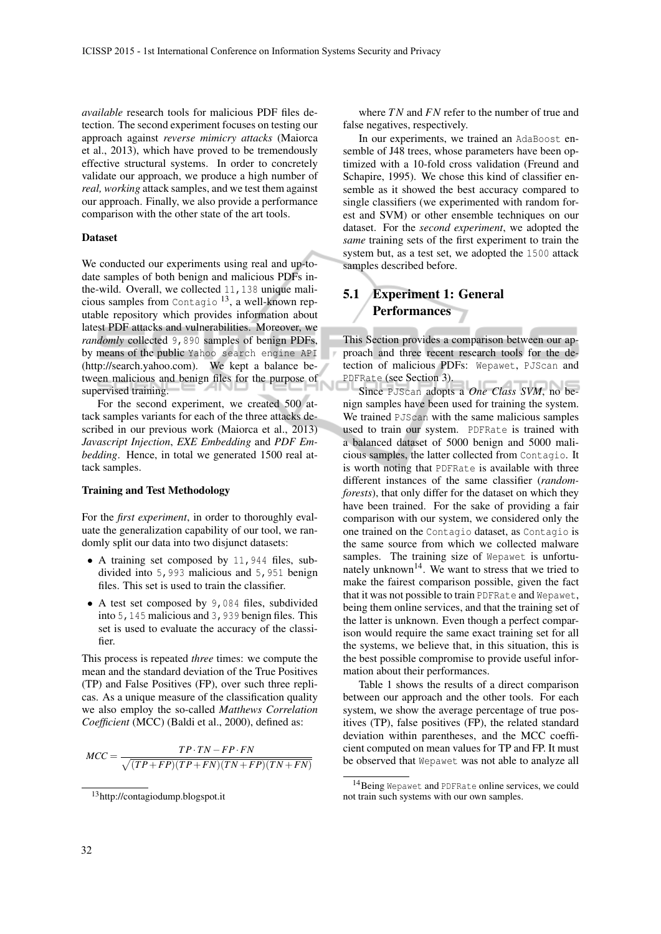*available* research tools for malicious PDF files detection. The second experiment focuses on testing our approach against *reverse mimicry attacks* (Maiorca et al., 2013), which have proved to be tremendously effective structural systems. In order to concretely validate our approach, we produce a high number of *real, working* attack samples, and we test them against our approach. Finally, we also provide a performance comparison with the other state of the art tools.

#### Dataset

We conducted our experiments using real and up-todate samples of both benign and malicious PDFs inthe-wild. Overall, we collected 11,138 unique malicious samples from Contagio <sup>13</sup>, a well-known reputable repository which provides information about latest PDF attacks and vulnerabilities. Moreover, we *randomly* collected 9,890 samples of benign PDFs, by means of the public Yahoo search engine API (http://search.yahoo.com). We kept a balance between malicious and benign files for the purpose of supervised training.

For the second experiment, we created 500 attack samples variants for each of the three attacks described in our previous work (Maiorca et al., 2013) *Javascript Injection*, *EXE Embedding* and *PDF Embedding*. Hence, in total we generated 1500 real attack samples.

#### Training and Test Methodology

For the *first experiment*, in order to thoroughly evaluate the generalization capability of our tool, we randomly split our data into two disjunct datasets:

- A training set composed by 11,944 files, subdivided into 5,993 malicious and 5,951 benign files. This set is used to train the classifier.
- A test set composed by 9,084 files, subdivided into 5,145 malicious and 3,939 benign files. This set is used to evaluate the accuracy of the classifier.

This process is repeated *three* times: we compute the mean and the standard deviation of the True Positives (TP) and False Positives (FP), over such three replicas. As a unique measure of the classification quality we also employ the so-called *Matthews Correlation Coefficient* (MCC) (Baldi et al., 2000), defined as:

$$
MCC = \frac{TP \cdot TN - FP \cdot FN}{\sqrt{(TP + FP)(TP + FN)(TN + FP)(TN + FN)}}
$$

where *TN* and *FN* refer to the number of true and false negatives, respectively.

In our experiments, we trained an AdaBoost ensemble of J48 trees, whose parameters have been optimized with a 10-fold cross validation (Freund and Schapire, 1995). We chose this kind of classifier ensemble as it showed the best accuracy compared to single classifiers (we experimented with random forest and SVM) or other ensemble techniques on our dataset. For the *second experiment*, we adopted the *same* training sets of the first experiment to train the system but, as a test set, we adopted the 1500 attack samples described before.

## 5.1 Experiment 1: General **Performances**

Ñ

This Section provides a comparison between our approach and three recent research tools for the detection of malicious PDFs: Wepawet, PJScan and PDFRate (see Section 3).

Since PJScan adopts a *One Class SVM*, no benign samples have been used for training the system. We trained PJScan with the same malicious samples used to train our system. PDFRate is trained with a balanced dataset of 5000 benign and 5000 malicious samples, the latter collected from Contagio. It is worth noting that PDFRate is available with three different instances of the same classifier (*randomforests*), that only differ for the dataset on which they have been trained. For the sake of providing a fair comparison with our system, we considered only the one trained on the Contagio dataset, as Contagio is the same source from which we collected malware samples. The training size of Wepawet is unfortunately unknown<sup>14</sup>. We want to stress that we tried to make the fairest comparison possible, given the fact that it was not possible to train PDFRate and Wepawet, being them online services, and that the training set of the latter is unknown. Even though a perfect comparison would require the same exact training set for all the systems, we believe that, in this situation, this is the best possible compromise to provide useful information about their performances.

Table 1 shows the results of a direct comparison between our approach and the other tools. For each system, we show the average percentage of true positives (TP), false positives (FP), the related standard deviation within parentheses, and the MCC coefficient computed on mean values for TP and FP. It must be observed that Wepawet was not able to analyze all

<sup>13</sup>http://contagiodump.blogspot.it

<sup>14</sup>Being Wepawet and PDFRate online services, we could not train such systems with our own samples.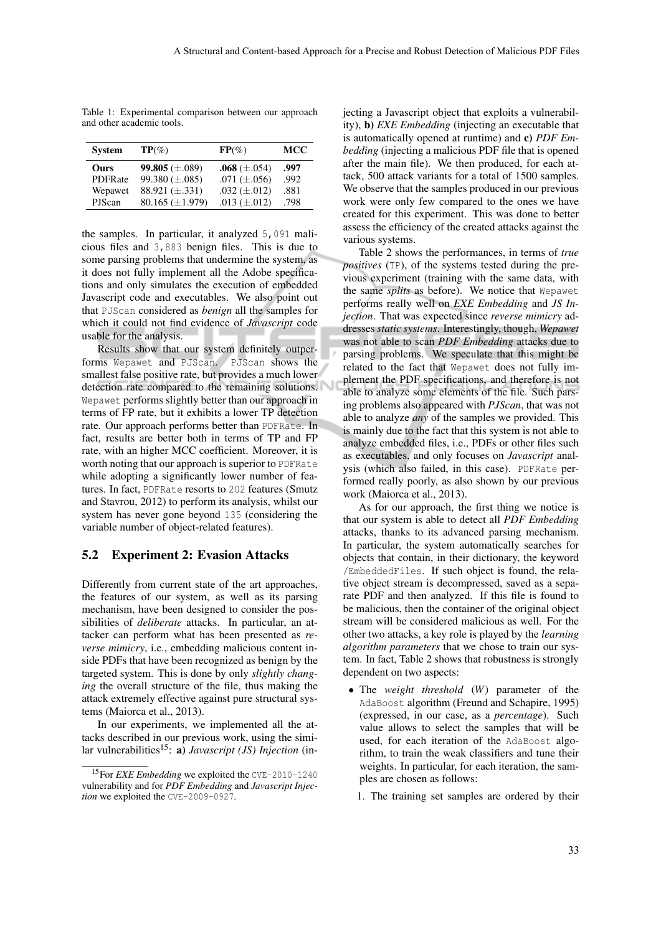Table 1: Experimental comparison between our approach and other academic tools.

| <b>System</b>  | $TP(\%)$               | $FP(\%)$            | MCC  |
|----------------|------------------------|---------------------|------|
| Ours           | 99.805 ( $\pm$ .089)   | $.068 \ (\pm .054)$ | .997 |
| <b>PDFRate</b> | 99.380 $(\pm .085)$    | .071 $(\pm .056)$   | .992 |
| Wepawet        | 88.921 $(\pm .331)$    | .032 $(\pm .012)$   | .881 |
| PJScan         | $80.165 \ (\pm 1.979)$ | .013 $(\pm .012)$   | .798 |

the samples. In particular, it analyzed 5,091 malicious files and 3,883 benign files. This is due to some parsing problems that undermine the system, as it does not fully implement all the Adobe specifications and only simulates the execution of embedded Javascript code and executables. We also point out that PJScan considered as *benign* all the samples for which it could not find evidence of *Javascript* code usable for the analysis.

Results show that our system definitely outperforms Wepawet and PJScan. PJScan shows the smallest false positive rate, but provides a much lower detection rate compared to the remaining solutions. Wepawet performs slightly better than our approach in terms of FP rate, but it exhibits a lower TP detection rate. Our approach performs better than PDFRate. In fact, results are better both in terms of TP and FP rate, with an higher MCC coefficient. Moreover, it is worth noting that our approach is superior to PDFRate while adopting a significantly lower number of features. In fact, PDFRate resorts to 202 features (Smutz and Stavrou, 2012) to perform its analysis, whilst our system has never gone beyond 135 (considering the variable number of object-related features).

#### 5.2 Experiment 2: Evasion Attacks

Differently from current state of the art approaches, the features of our system, as well as its parsing mechanism, have been designed to consider the possibilities of *deliberate* attacks. In particular, an attacker can perform what has been presented as *reverse mimicry*, i.e., embedding malicious content inside PDFs that have been recognized as benign by the targeted system. This is done by only *slightly changing* the overall structure of the file, thus making the attack extremely effective against pure structural systems (Maiorca et al., 2013).

In our experiments, we implemented all the attacks described in our previous work, using the similar vulnerabilities<sup>15</sup>: **a**) *Javascript* (*JS*) *Injection* (injecting a Javascript object that exploits a vulnerability), b) *EXE Embedding* (injecting an executable that is automatically opened at runtime) and c) *PDF Embedding* (injecting a malicious PDF file that is opened after the main file). We then produced, for each attack, 500 attack variants for a total of 1500 samples. We observe that the samples produced in our previous work were only few compared to the ones we have created for this experiment. This was done to better assess the efficiency of the created attacks against the various systems.

Table 2 shows the performances, in terms of *true positives* (TP), of the systems tested during the previous experiment (training with the same data, with the same *splits* as before). We notice that Wepawet performs really well on *EXE Embedding* and *JS Injection*. That was expected since *reverse mimicry* addresses *static systems*. Interestingly, though, *Wepawet* was not able to scan *PDF Embedding* attacks due to parsing problems. We speculate that this might be related to the fact that Wepawet does not fully implement the PDF specifications, and therefore is not able to analyze some elements of the file. Such parsing problems also appeared with *PJScan*, that was not able to analyze *any* of the samples we provided. This is mainly due to the fact that this system is not able to analyze embedded files, i.e., PDFs or other files such as executables, and only focuses on *Javascript* analysis (which also failed, in this case). PDFRate performed really poorly, as also shown by our previous work (Maiorca et al., 2013).

As for our approach, the first thing we notice is that our system is able to detect all *PDF Embedding* attacks, thanks to its advanced parsing mechanism. In particular, the system automatically searches for objects that contain, in their dictionary, the keyword /EmbeddedFiles. If such object is found, the relative object stream is decompressed, saved as a separate PDF and then analyzed. If this file is found to be malicious, then the container of the original object stream will be considered malicious as well. For the other two attacks, a key role is played by the *learning algorithm parameters* that we chose to train our system. In fact, Table 2 shows that robustness is strongly dependent on two aspects:

- The *weight threshold* (*W*) parameter of the AdaBoost algorithm (Freund and Schapire, 1995) (expressed, in our case, as a *percentage*). Such value allows to select the samples that will be used, for each iteration of the AdaBoost algorithm, to train the weak classifiers and tune their weights. In particular, for each iteration, the samples are chosen as follows:
	- 1. The training set samples are ordered by their

<sup>15</sup>For *EXE Embedding* we exploited the CVE-2010-1240 vulnerability and for *PDF Embedding* and *Javascript Injection* we exploited the CVE-2009-0927.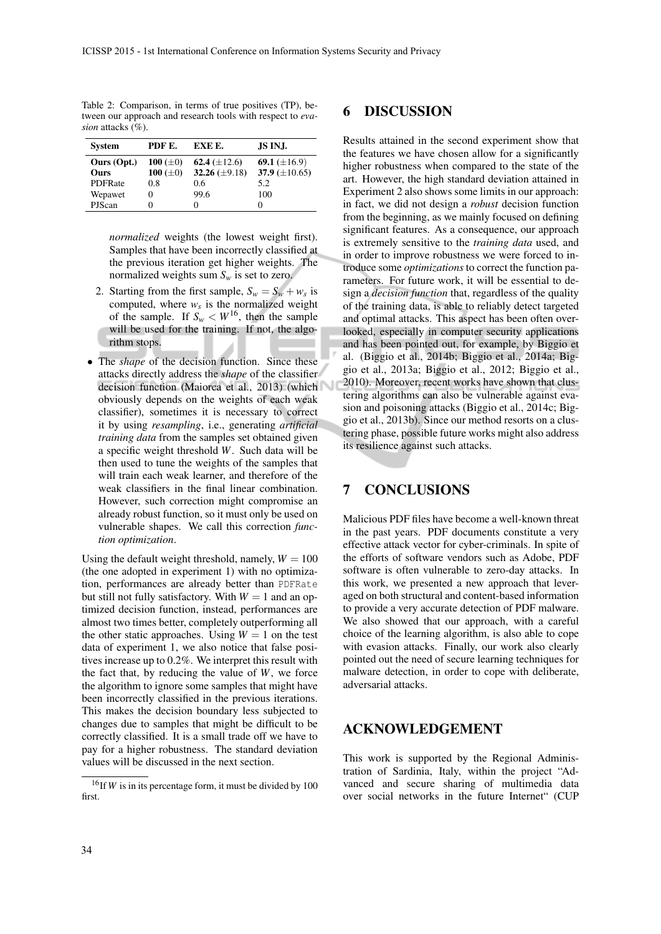Table 2: Comparison, in terms of true positives (TP), between our approach and research tools with respect to *evasion* attacks (%).

| <b>System</b>  | PDF E.         | EXE E.             | JS INJ.            |
|----------------|----------------|--------------------|--------------------|
| Ours (Opt.)    | 100 $(\pm 0)$  | 62.4 $(\pm 12.6)$  | 69.1 $(\pm 16.9)$  |
| <b>Ours</b>    | 100 ( $\pm$ 0) | 32.26 $(\pm 9.18)$ | 37.9 $(\pm 10.65)$ |
| <b>PDFRate</b> | 0.8            | 0.6                | 5.2                |
| Wepawet        |                | 99.6               | 100                |
| <b>PJScan</b>  |                | $_{0}$             |                    |

*normalized* weights (the lowest weight first). Samples that have been incorrectly classified at the previous iteration get higher weights. The normalized weights sum  $S_w$  is set to zero.

- 2. Starting from the first sample,  $S_w = S_w + w_s$  is computed, where  $w_s$  is the normalized weight of the sample. If  $S_w < W^{16}$ , then the sample will be used for the training. If not, the algorithm stops.
- The *shape* of the decision function. Since these attacks directly address the *shape* of the classifier decision function (Maiorca et al., 2013) (which obviously depends on the weights of each weak classifier), sometimes it is necessary to correct it by using *resampling*, i.e., generating *artificial training data* from the samples set obtained given a specific weight threshold *W*. Such data will be then used to tune the weights of the samples that will train each weak learner, and therefore of the weak classifiers in the final linear combination. However, such correction might compromise an already robust function, so it must only be used on vulnerable shapes. We call this correction *function optimization*.

Using the default weight threshold, namely,  $W = 100$ (the one adopted in experiment 1) with no optimization, performances are already better than PDFRate but still not fully satisfactory. With  $W = 1$  and an optimized decision function, instead, performances are almost two times better, completely outperforming all the other static approaches. Using  $W = 1$  on the test data of experiment 1, we also notice that false positives increase up to 0.2%. We interpret this result with the fact that, by reducing the value of *W*, we force the algorithm to ignore some samples that might have been incorrectly classified in the previous iterations. This makes the decision boundary less subjected to changes due to samples that might be difficult to be correctly classified. It is a small trade off we have to pay for a higher robustness. The standard deviation values will be discussed in the next section.

## 6 DISCUSSION

Results attained in the second experiment show that the features we have chosen allow for a significantly higher robustness when compared to the state of the art. However, the high standard deviation attained in Experiment 2 also shows some limits in our approach: in fact, we did not design a *robust* decision function from the beginning, as we mainly focused on defining significant features. As a consequence, our approach is extremely sensitive to the *training data* used, and in order to improve robustness we were forced to introduce some *optimizations* to correct the function parameters. For future work, it will be essential to design a *decision function* that, regardless of the quality of the training data, is able to reliably detect targeted and optimal attacks. This aspect has been often overlooked, especially in computer security applications and has been pointed out, for example, by Biggio et al. (Biggio et al., 2014b; Biggio et al., 2014a; Biggio et al., 2013a; Biggio et al., 2012; Biggio et al., 2010). Moreover, recent works have shown that clustering algorithms can also be vulnerable against evasion and poisoning attacks (Biggio et al., 2014c; Biggio et al., 2013b). Since our method resorts on a clustering phase, possible future works might also address its resilience against such attacks.

## 7 CONCLUSIONS

Malicious PDF files have become a well-known threat in the past years. PDF documents constitute a very effective attack vector for cyber-criminals. In spite of the efforts of software vendors such as Adobe, PDF software is often vulnerable to zero-day attacks. In this work, we presented a new approach that leveraged on both structural and content-based information to provide a very accurate detection of PDF malware. We also showed that our approach, with a careful choice of the learning algorithm, is also able to cope with evasion attacks. Finally, our work also clearly pointed out the need of secure learning techniques for malware detection, in order to cope with deliberate, adversarial attacks.

### ACKNOWLEDGEMENT

This work is supported by the Regional Administration of Sardinia, Italy, within the project "Advanced and secure sharing of multimedia data over social networks in the future Internet" (CUP

<sup>16</sup>If *W* is in its percentage form, it must be divided by 100 first.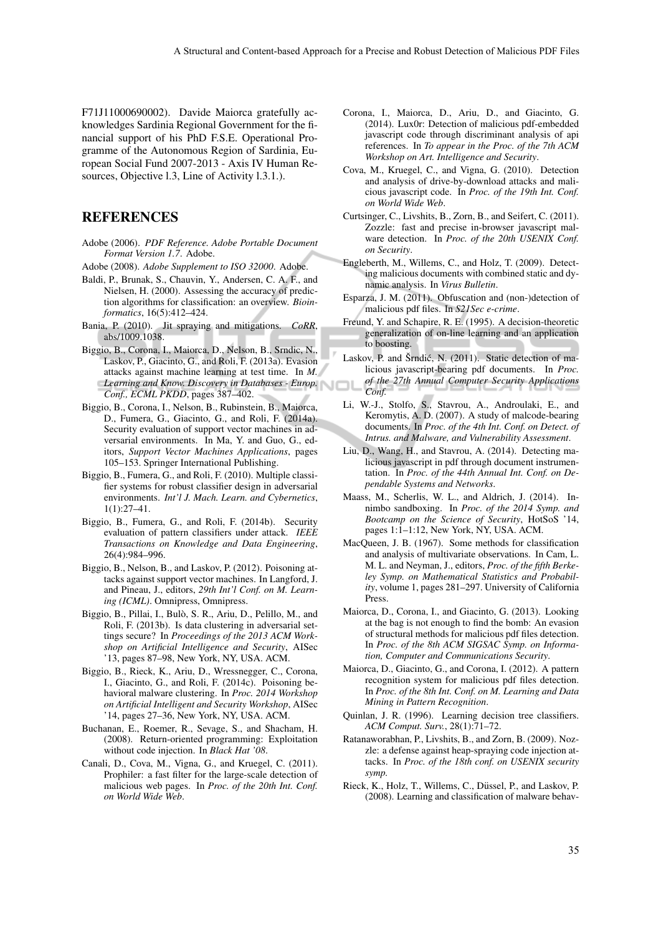F71J11000690002). Davide Maiorca gratefully acknowledges Sardinia Regional Government for the financial support of his PhD F.S.E. Operational Programme of the Autonomous Region of Sardinia, European Social Fund 2007-2013 - Axis IV Human Resources, Objective l.3, Line of Activity l.3.1.).

## REFERENCES

- Adobe (2006). *PDF Reference. Adobe Portable Document Format Version 1.7*. Adobe.
- Adobe (2008). *Adobe Supplement to ISO 32000*. Adobe.
- Baldi, P., Brunak, S., Chauvin, Y., Andersen, C. A. F., and Nielsen, H. (2000). Assessing the accuracy of prediction algorithms for classification: an overview. *Bioinformatics*, 16(5):412–424.
- Bania, P. (2010). Jit spraying and mitigations. *CoRR*, abs/1009.1038.
- Biggio, B., Corona, I., Maiorca, D., Nelson, B., Srndic, N., Laskov, P., Giacinto, G., and Roli, F. (2013a). Evasion attacks against machine learning at test time. In *M. Learning and Know. Discovery in Databases - Europ. Conf., ECML PKDD*, pages 387–402.
- Biggio, B., Corona, I., Nelson, B., Rubinstein, B., Maiorca, D., Fumera, G., Giacinto, G., and Roli, F. (2014a). Security evaluation of support vector machines in adversarial environments. In Ma, Y. and Guo, G., editors, *Support Vector Machines Applications*, pages 105–153. Springer International Publishing.
- Biggio, B., Fumera, G., and Roli, F. (2010). Multiple classifier systems for robust classifier design in adversarial environments. *Int'l J. Mach. Learn. and Cybernetics*, 1(1):27–41.
- Biggio, B., Fumera, G., and Roli, F. (2014b). Security evaluation of pattern classifiers under attack. *IEEE Transactions on Knowledge and Data Engineering*, 26(4):984–996.
- Biggio, B., Nelson, B., and Laskov, P. (2012). Poisoning attacks against support vector machines. In Langford, J. and Pineau, J., editors, *29th Int'l Conf. on M. Learning (ICML)*. Omnipress, Omnipress.
- Biggio, B., Pillai, I., Bulo, S. R., Ariu, D., Pelillo, M., and ` Roli, F. (2013b). Is data clustering in adversarial settings secure? In *Proceedings of the 2013 ACM Workshop on Artificial Intelligence and Security*, AISec '13, pages 87–98, New York, NY, USA. ACM.
- Biggio, B., Rieck, K., Ariu, D., Wressnegger, C., Corona, I., Giacinto, G., and Roli, F. (2014c). Poisoning behavioral malware clustering. In *Proc. 2014 Workshop on Artificial Intelligent and Security Workshop*, AISec '14, pages 27–36, New York, NY, USA. ACM.
- Buchanan, E., Roemer, R., Sevage, S., and Shacham, H. (2008). Return-oriented programming: Exploitation without code injection. In *Black Hat '08*.
- Canali, D., Cova, M., Vigna, G., and Kruegel, C. (2011). Prophiler: a fast filter for the large-scale detection of malicious web pages. In *Proc. of the 20th Int. Conf. on World Wide Web*.
- Corona, I., Maiorca, D., Ariu, D., and Giacinto, G. (2014). Lux0r: Detection of malicious pdf-embedded javascript code through discriminant analysis of api references. In *To appear in the Proc. of the 7th ACM Workshop on Art. Intelligence and Security*.
- Cova, M., Kruegel, C., and Vigna, G. (2010). Detection and analysis of drive-by-download attacks and malicious javascript code. In *Proc. of the 19th Int. Conf. on World Wide Web*.
- Curtsinger, C., Livshits, B., Zorn, B., and Seifert, C. (2011). Zozzle: fast and precise in-browser javascript malware detection. In *Proc. of the 20th USENIX Conf. on Security*.
- Engleberth, M., Willems, C., and Holz, T. (2009). Detecting malicious documents with combined static and dynamic analysis. In *Virus Bulletin*.
- Esparza, J. M. (2011). Obfuscation and (non-)detection of malicious pdf files. In *S21Sec e-crime*.
- Freund, Y. and Schapire, R. E. (1995). A decision-theoretic generalization of on-line learning and an application to boosting.
- Laskov, P. and Šrndić, N. (2011). Static detection of malicious javascript-bearing pdf documents. In *Proc. of the 27th Annual Computer Security Applications Conf.*
- Li, W.-J., Stolfo, S., Stavrou, A., Androulaki, E., and Keromytis, A. D. (2007). A study of malcode-bearing documents. In *Proc. of the 4th Int. Conf. on Detect. of Intrus. and Malware, and Vulnerability Assessment*.
- Liu, D., Wang, H., and Stavrou, A. (2014). Detecting malicious javascript in pdf through document instrumentation. In *Proc. of the 44th Annual Int. Conf. on Dependable Systems and Networks*.
- Maass, M., Scherlis, W. L., and Aldrich, J. (2014). Innimbo sandboxing. In *Proc. of the 2014 Symp. and Bootcamp on the Science of Security*, HotSoS '14, pages 1:1–1:12, New York, NY, USA. ACM.
- MacQueen, J. B. (1967). Some methods for classification and analysis of multivariate observations. In Cam, L. M. L. and Neyman, J., editors, *Proc. of the fifth Berkeley Symp. on Mathematical Statistics and Probability*, volume 1, pages 281–297. University of California Press.
- Maiorca, D., Corona, I., and Giacinto, G. (2013). Looking at the bag is not enough to find the bomb: An evasion of structural methods for malicious pdf files detection. In *Proc. of the 8th ACM SIGSAC Symp. on Information, Computer and Communications Security*.
- Maiorca, D., Giacinto, G., and Corona, I. (2012). A pattern recognition system for malicious pdf files detection. In *Proc. of the 8th Int. Conf. on M. Learning and Data Mining in Pattern Recognition*.
- Quinlan, J. R. (1996). Learning decision tree classifiers. *ACM Comput. Surv.*, 28(1):71–72.
- Ratanaworabhan, P., Livshits, B., and Zorn, B. (2009). Nozzle: a defense against heap-spraying code injection attacks. In *Proc. of the 18th conf. on USENIX security symp.*
- Rieck, K., Holz, T., Willems, C., Düssel, P., and Laskov, P. (2008). Learning and classification of malware behav-